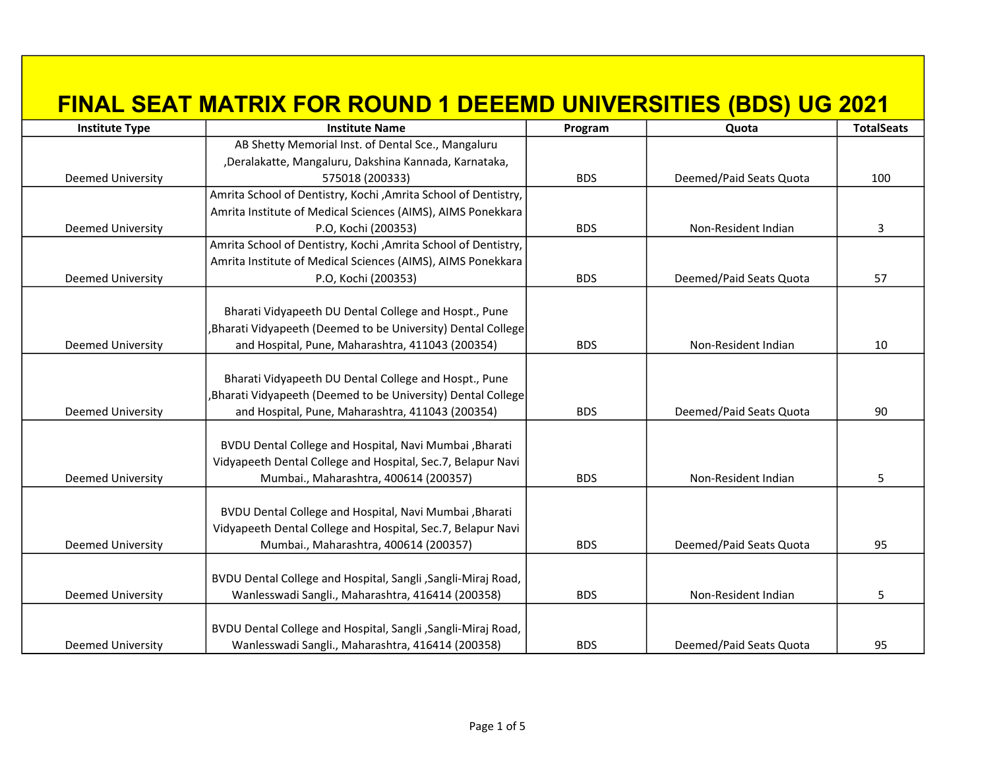| <b>Institute Type</b>    | <b>Institute Name</b>                                           | Program    | Quota                   | <b>TotalSeats</b> |
|--------------------------|-----------------------------------------------------------------|------------|-------------------------|-------------------|
|                          | AB Shetty Memorial Inst. of Dental Sce., Mangaluru              |            |                         |                   |
|                          | , Deralakatte, Mangaluru, Dakshina Kannada, Karnataka,          |            |                         |                   |
| <b>Deemed University</b> | 575018 (200333)                                                 | <b>BDS</b> | Deemed/Paid Seats Quota | 100               |
|                          | Amrita School of Dentistry, Kochi , Amrita School of Dentistry, |            |                         |                   |
|                          | Amrita Institute of Medical Sciences (AIMS), AIMS Ponekkara     |            |                         |                   |
| <b>Deemed University</b> | P.O, Kochi (200353)                                             | <b>BDS</b> | Non-Resident Indian     | 3                 |
|                          | Amrita School of Dentistry, Kochi , Amrita School of Dentistry, |            |                         |                   |
|                          | Amrita Institute of Medical Sciences (AIMS), AIMS Ponekkara     |            |                         |                   |
| <b>Deemed University</b> | P.O, Kochi (200353)                                             | <b>BDS</b> | Deemed/Paid Seats Quota | 57                |
|                          |                                                                 |            |                         |                   |
|                          | Bharati Vidyapeeth DU Dental College and Hospt., Pune           |            |                         |                   |
|                          | Bharati Vidyapeeth (Deemed to be University) Dental College     |            |                         |                   |
| <b>Deemed University</b> | and Hospital, Pune, Maharashtra, 411043 (200354)                | <b>BDS</b> | Non-Resident Indian     | 10                |
|                          |                                                                 |            |                         |                   |
|                          | Bharati Vidyapeeth DU Dental College and Hospt., Pune           |            |                         |                   |
|                          | Bharati Vidyapeeth (Deemed to be University) Dental College     |            |                         |                   |
| <b>Deemed University</b> | and Hospital, Pune, Maharashtra, 411043 (200354)                | <b>BDS</b> | Deemed/Paid Seats Quota | 90                |
|                          |                                                                 |            |                         |                   |
|                          | BVDU Dental College and Hospital, Navi Mumbai, Bharati          |            |                         |                   |
|                          | Vidyapeeth Dental College and Hospital, Sec.7, Belapur Navi     |            |                         |                   |
| <b>Deemed University</b> | Mumbai., Maharashtra, 400614 (200357)                           | <b>BDS</b> | Non-Resident Indian     | 5                 |
|                          |                                                                 |            |                         |                   |
|                          | BVDU Dental College and Hospital, Navi Mumbai, Bharati          |            |                         |                   |
|                          | Vidyapeeth Dental College and Hospital, Sec.7, Belapur Navi     |            |                         |                   |
| <b>Deemed University</b> | Mumbai., Maharashtra, 400614 (200357)                           | <b>BDS</b> | Deemed/Paid Seats Quota | 95                |
|                          |                                                                 |            |                         |                   |
|                          | BVDU Dental College and Hospital, Sangli, Sangli-Miraj Road,    |            |                         |                   |
| <b>Deemed University</b> | Wanlesswadi Sangli., Maharashtra, 416414 (200358)               | <b>BDS</b> | Non-Resident Indian     | 5                 |
|                          |                                                                 |            |                         |                   |
|                          | BVDU Dental College and Hospital, Sangli, Sangli-Miraj Road,    |            |                         |                   |
| <b>Deemed University</b> | Wanlesswadi Sangli., Maharashtra, 416414 (200358)               | <b>BDS</b> | Deemed/Paid Seats Quota | 95                |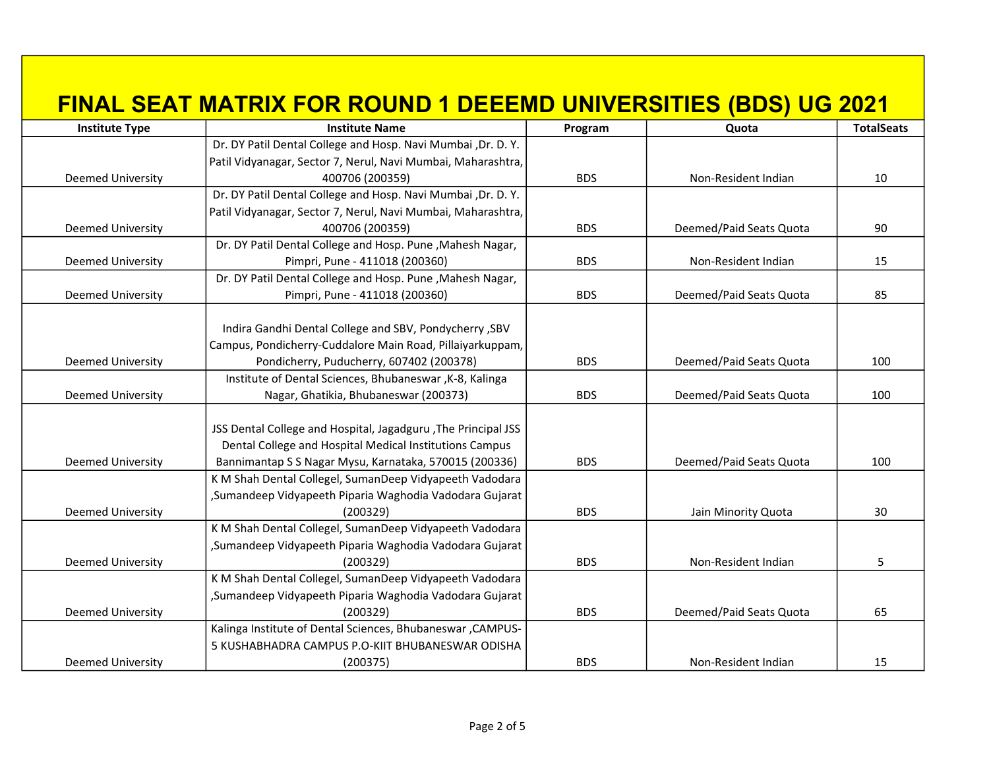| <b>Institute Type</b>    | <b>Institute Name</b>                                          | Program    | Quota                   | <b>TotalSeats</b> |
|--------------------------|----------------------------------------------------------------|------------|-------------------------|-------------------|
|                          | Dr. DY Patil Dental College and Hosp. Navi Mumbai , Dr. D. Y.  |            |                         |                   |
|                          | Patil Vidyanagar, Sector 7, Nerul, Navi Mumbai, Maharashtra,   |            |                         |                   |
| <b>Deemed University</b> | 400706 (200359)                                                | <b>BDS</b> | Non-Resident Indian     | 10                |
|                          | Dr. DY Patil Dental College and Hosp. Navi Mumbai , Dr. D. Y.  |            |                         |                   |
|                          | Patil Vidyanagar, Sector 7, Nerul, Navi Mumbai, Maharashtra,   |            |                         |                   |
| Deemed University        | 400706 (200359)                                                | <b>BDS</b> | Deemed/Paid Seats Quota | 90                |
|                          | Dr. DY Patil Dental College and Hosp. Pune, Mahesh Nagar,      |            |                         |                   |
| <b>Deemed University</b> | Pimpri, Pune - 411018 (200360)                                 | <b>BDS</b> | Non-Resident Indian     | 15                |
|                          | Dr. DY Patil Dental College and Hosp. Pune, Mahesh Nagar,      |            |                         |                   |
| <b>Deemed University</b> | Pimpri, Pune - 411018 (200360)                                 | <b>BDS</b> | Deemed/Paid Seats Quota | 85                |
|                          |                                                                |            |                         |                   |
|                          | Indira Gandhi Dental College and SBV, Pondycherry, SBV         |            |                         |                   |
|                          | Campus, Pondicherry-Cuddalore Main Road, Pillaiyarkuppam,      |            |                         |                   |
| Deemed University        | Pondicherry, Puducherry, 607402 (200378)                       | <b>BDS</b> | Deemed/Paid Seats Quota | 100               |
|                          | Institute of Dental Sciences, Bhubaneswar, K-8, Kalinga        |            |                         |                   |
| <b>Deemed University</b> | Nagar, Ghatikia, Bhubaneswar (200373)                          | <b>BDS</b> | Deemed/Paid Seats Quota | 100               |
|                          |                                                                |            |                         |                   |
|                          | JSS Dental College and Hospital, Jagadguru , The Principal JSS |            |                         |                   |
|                          | Dental College and Hospital Medical Institutions Campus        |            |                         |                   |
| <b>Deemed University</b> | Bannimantap S S Nagar Mysu, Karnataka, 570015 (200336)         | <b>BDS</b> | Deemed/Paid Seats Quota | 100               |
|                          | K M Shah Dental Collegel, SumanDeep Vidyapeeth Vadodara        |            |                         |                   |
|                          | ,Sumandeep Vidyapeeth Piparia Waghodia Vadodara Gujarat        |            |                         |                   |
| <b>Deemed University</b> | (200329)                                                       | <b>BDS</b> | Jain Minority Quota     | 30                |
|                          | K M Shah Dental Collegel, SumanDeep Vidyapeeth Vadodara        |            |                         |                   |
|                          | ,Sumandeep Vidyapeeth Piparia Waghodia Vadodara Gujarat        |            |                         |                   |
| <b>Deemed University</b> | (200329)                                                       | <b>BDS</b> | Non-Resident Indian     | 5                 |
|                          | K M Shah Dental Collegel, SumanDeep Vidyapeeth Vadodara        |            |                         |                   |
|                          | , Sumandeep Vidyapeeth Piparia Waghodia Vadodara Gujarat       |            |                         |                   |
| <b>Deemed University</b> | (200329)                                                       | <b>BDS</b> | Deemed/Paid Seats Quota | 65                |
|                          | Kalinga Institute of Dental Sciences, Bhubaneswar, CAMPUS-     |            |                         |                   |
|                          | 5 KUSHABHADRA CAMPUS P.O-KIIT BHUBANESWAR ODISHA               |            |                         |                   |
| <b>Deemed University</b> | (200375)                                                       | <b>BDS</b> | Non-Resident Indian     | 15                |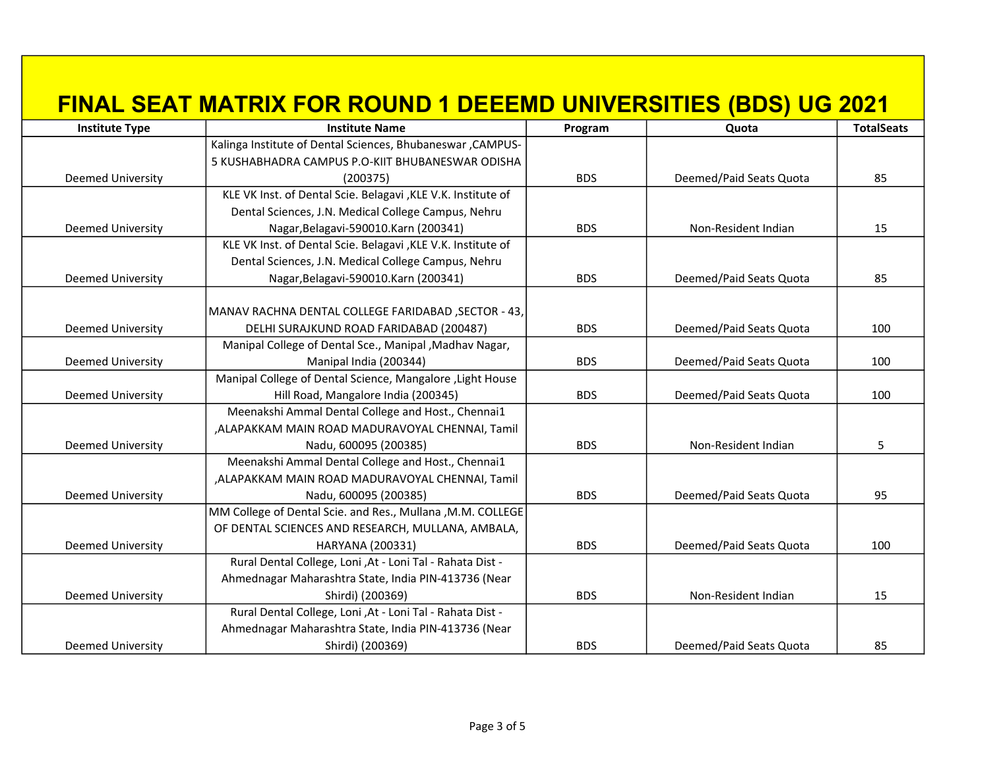| <b>Institute Type</b>    | <b>Institute Name</b>                                         | Program    | Quota                   | <b>TotalSeats</b> |
|--------------------------|---------------------------------------------------------------|------------|-------------------------|-------------------|
|                          | Kalinga Institute of Dental Sciences, Bhubaneswar, CAMPUS-    |            |                         |                   |
|                          | 5 KUSHABHADRA CAMPUS P.O-KIIT BHUBANESWAR ODISHA              |            |                         |                   |
| Deemed University        | (200375)                                                      | <b>BDS</b> | Deemed/Paid Seats Quota | 85                |
|                          | KLE VK Inst. of Dental Scie. Belagavi , KLE V.K. Institute of |            |                         |                   |
|                          | Dental Sciences, J.N. Medical College Campus, Nehru           |            |                         |                   |
| Deemed University        | Nagar, Belagavi-590010. Karn (200341)                         | <b>BDS</b> | Non-Resident Indian     | 15                |
|                          | KLE VK Inst. of Dental Scie. Belagavi , KLE V.K. Institute of |            |                         |                   |
|                          | Dental Sciences, J.N. Medical College Campus, Nehru           |            |                         |                   |
| Deemed University        | Nagar, Belagavi-590010. Karn (200341)                         | <b>BDS</b> | Deemed/Paid Seats Quota | 85                |
|                          |                                                               |            |                         |                   |
|                          | MANAV RACHNA DENTAL COLLEGE FARIDABAD, SECTOR - 43,           |            |                         |                   |
| Deemed University        | DELHI SURAJKUND ROAD FARIDABAD (200487)                       | <b>BDS</b> | Deemed/Paid Seats Quota | 100               |
|                          | Manipal College of Dental Sce., Manipal, Madhav Nagar,        |            |                         |                   |
| Deemed University        | Manipal India (200344)                                        | <b>BDS</b> | Deemed/Paid Seats Quota | 100               |
|                          | Manipal College of Dental Science, Mangalore, Light House     |            |                         |                   |
| <b>Deemed University</b> | Hill Road, Mangalore India (200345)                           | <b>BDS</b> | Deemed/Paid Seats Quota | 100               |
|                          | Meenakshi Ammal Dental College and Host., Chennai1            |            |                         |                   |
|                          | ,ALAPAKKAM MAIN ROAD MADURAVOYAL CHENNAI, Tamil               |            |                         |                   |
| <b>Deemed University</b> | Nadu, 600095 (200385)                                         | <b>BDS</b> | Non-Resident Indian     | 5                 |
|                          | Meenakshi Ammal Dental College and Host., Chennai1            |            |                         |                   |
|                          | ,ALAPAKKAM MAIN ROAD MADURAVOYAL CHENNAI, Tamil               |            |                         |                   |
| <b>Deemed University</b> | Nadu, 600095 (200385)                                         | <b>BDS</b> | Deemed/Paid Seats Quota | 95                |
|                          | MM College of Dental Scie. and Res., Mullana, M.M. COLLEGE    |            |                         |                   |
|                          | OF DENTAL SCIENCES AND RESEARCH, MULLANA, AMBALA,             |            |                         |                   |
| <b>Deemed University</b> | HARYANA (200331)                                              | <b>BDS</b> | Deemed/Paid Seats Quota | 100               |
|                          | Rural Dental College, Loni , At - Loni Tal - Rahata Dist -    |            |                         |                   |
|                          | Ahmednagar Maharashtra State, India PIN-413736 (Near          |            |                         |                   |
| Deemed University        | Shirdi) (200369)                                              | <b>BDS</b> | Non-Resident Indian     | 15                |
|                          | Rural Dental College, Loni ,At - Loni Tal - Rahata Dist -     |            |                         |                   |
|                          | Ahmednagar Maharashtra State, India PIN-413736 (Near          |            |                         |                   |
| <b>Deemed University</b> | Shirdi) (200369)                                              | <b>BDS</b> | Deemed/Paid Seats Quota | 85                |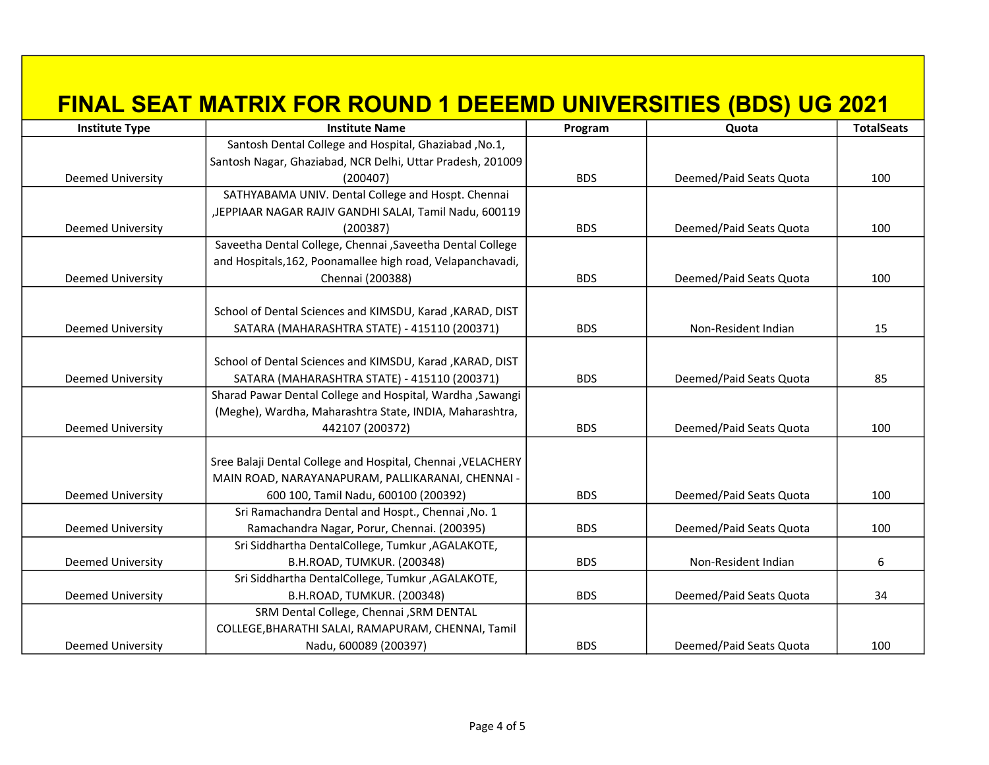| <b>Institute Type</b>    | <b>Institute Name</b>                                        | Program    | Quota                   | <b>TotalSeats</b> |
|--------------------------|--------------------------------------------------------------|------------|-------------------------|-------------------|
|                          | Santosh Dental College and Hospital, Ghaziabad, No.1,        |            |                         |                   |
|                          | Santosh Nagar, Ghaziabad, NCR Delhi, Uttar Pradesh, 201009   |            |                         |                   |
| <b>Deemed University</b> | (200407)                                                     | <b>BDS</b> | Deemed/Paid Seats Quota | 100               |
|                          | SATHYABAMA UNIV. Dental College and Hospt. Chennai           |            |                         |                   |
|                          | ,JEPPIAAR NAGAR RAJIV GANDHI SALAI, Tamil Nadu, 600119       |            |                         |                   |
| <b>Deemed University</b> | (200387)                                                     | <b>BDS</b> | Deemed/Paid Seats Quota | 100               |
|                          | Saveetha Dental College, Chennai , Saveetha Dental College   |            |                         |                   |
|                          | and Hospitals, 162, Poonamallee high road, Velapanchavadi,   |            |                         |                   |
| <b>Deemed University</b> | Chennai (200388)                                             | <b>BDS</b> | Deemed/Paid Seats Quota | 100               |
|                          |                                                              |            |                         |                   |
|                          | School of Dental Sciences and KIMSDU, Karad , KARAD, DIST    |            |                         |                   |
| <b>Deemed University</b> | SATARA (MAHARASHTRA STATE) - 415110 (200371)                 | <b>BDS</b> | Non-Resident Indian     | 15                |
|                          |                                                              |            |                         |                   |
|                          | School of Dental Sciences and KIMSDU, Karad , KARAD, DIST    |            |                         |                   |
| <b>Deemed University</b> | SATARA (MAHARASHTRA STATE) - 415110 (200371)                 | <b>BDS</b> | Deemed/Paid Seats Quota | 85                |
|                          | Sharad Pawar Dental College and Hospital, Wardha, Sawangi    |            |                         |                   |
|                          | (Meghe), Wardha, Maharashtra State, INDIA, Maharashtra,      |            |                         |                   |
| <b>Deemed University</b> | 442107 (200372)                                              | <b>BDS</b> | Deemed/Paid Seats Quota | 100               |
|                          |                                                              |            |                         |                   |
|                          | Sree Balaji Dental College and Hospital, Chennai , VELACHERY |            |                         |                   |
|                          | MAIN ROAD, NARAYANAPURAM, PALLIKARANAI, CHENNAI -            |            |                         |                   |
| <b>Deemed University</b> | 600 100, Tamil Nadu, 600100 (200392)                         | <b>BDS</b> | Deemed/Paid Seats Quota | 100               |
|                          | Sri Ramachandra Dental and Hospt., Chennai, No. 1            |            |                         |                   |
| <b>Deemed University</b> | Ramachandra Nagar, Porur, Chennai. (200395)                  | <b>BDS</b> | Deemed/Paid Seats Quota | 100               |
|                          | Sri Siddhartha DentalCollege, Tumkur, AGALAKOTE,             |            |                         |                   |
| <b>Deemed University</b> | B.H.ROAD, TUMKUR. (200348)                                   | <b>BDS</b> | Non-Resident Indian     | 6                 |
|                          | Sri Siddhartha DentalCollege, Tumkur , AGALAKOTE,            |            |                         |                   |
| <b>Deemed University</b> | B.H.ROAD, TUMKUR. (200348)                                   | <b>BDS</b> | Deemed/Paid Seats Quota | 34                |
|                          | SRM Dental College, Chennai , SRM DENTAL                     |            |                         |                   |
|                          | COLLEGE, BHARATHI SALAI, RAMAPURAM, CHENNAI, Tamil           |            |                         |                   |
| <b>Deemed University</b> | Nadu, 600089 (200397)                                        | <b>BDS</b> | Deemed/Paid Seats Quota | 100               |